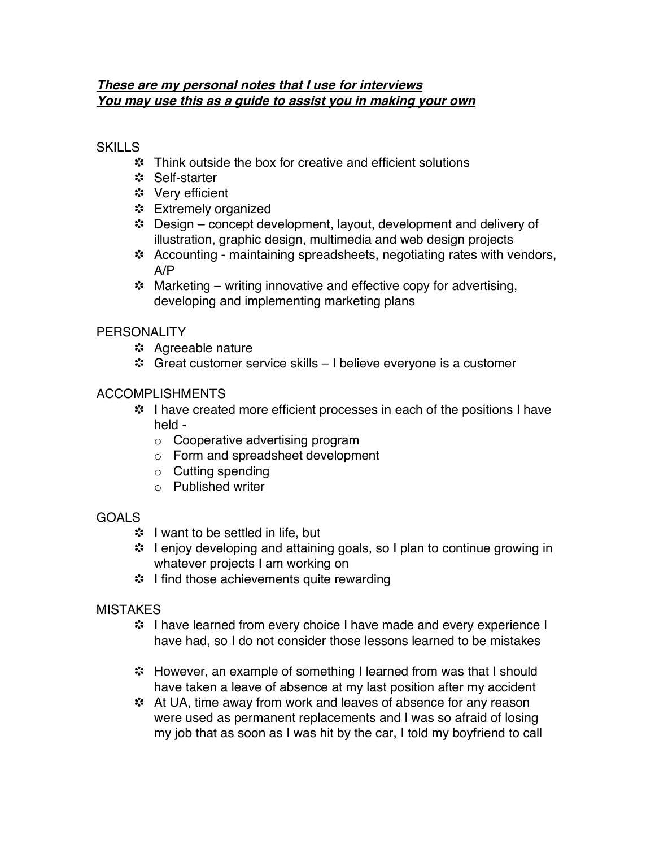### **These are my personal notes that I use for interviews You may use this as <sup>a</sup> guide to assist you in making your own**

### **SKILLS**

- Think outside the box for creative and efficient solutions
- \* Self-starter
- Very efficient
- \* Extremely organized
- Design concept development, layout, development and delivery of illustration, graphic design, multimedia and web design projects
- \* Accounting maintaining spreadsheets, negotiating rates with vendors, A/P
- $\cdot$  Marketing writing innovative and effective copy for advertising, developing and implementing marketing plans

## **PERSONALITY**

- \* Agreeable nature
- Great customer service skills I believe everyone is a customer

## ACCOMPLISHMENTS

- I have created more efficient processes in each of the positions I have held
	- o Cooperative advertising program
	- o Form and spreadsheet development
	- o Cutting spending
	- o Published writer

#### GOALS

- **\*** I want to be settled in life, but
- I enjoy developing and attaining goals, so I plan to continue growing in whatever projects I am working on
- **<sup>\*</sup>** I find those achievements quite rewarding

#### **MISTAKES**

- \* I have learned from every choice I have made and every experience I have had, so I do not consider those lessons learned to be mistakes
- However, an example of something I learned from was that I should have taken a leave of absence at my last position after my accident
- At UA, time away from work and leaves of absence for any reason were used as permanent replacements and I was so afraid of losing my job that as soon as I was hit by the car, I told my boyfriend to call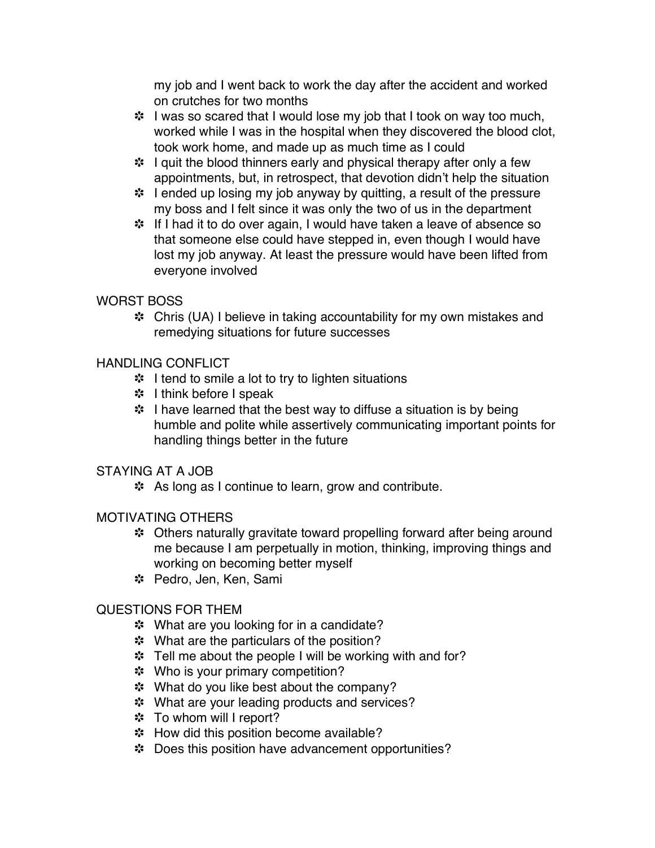my job and I went back to work the day after the accident and worked on crutches for two months

- \* I was so scared that I would lose my job that I took on way too much, worked while I was in the hospital when they discovered the blood clot, took work home, and made up as much time as I could
- I quit the blood thinners early and physical therapy after only a few appointments, but, in retrospect, that devotion didn't help the situation
- \* I ended up losing my job anyway by quitting, a result of the pressure my boss and I felt since it was only the two of us in the department
- **\*** If I had it to do over again, I would have taken a leave of absence so that someone else could have stepped in, even though I would have lost my job anyway. At least the pressure would have been lifted from everyone involved

# WORST BOSS

 Chris (UA) I believe in taking accountability for my own mistakes and remedying situations for future successes

# HANDLING CONFLICT

- I tend to smile a lot to try to lighten situations
- **\*** I think before I speak
- **\*** I have learned that the best way to diffuse a situation is by being humble and polite while assertively communicating important points for handling things better in the future

# STAYING AT A JOB

As long as I continue to learn, grow and contribute.

#### MOTIVATING OTHERS

- Others naturally gravitate toward propelling forward after being around me because I am perpetually in motion, thinking, improving things and working on becoming better myself
- \* Pedro, Jen, Ken, Sami

# QUESTIONS FOR THEM

- **\*** What are you looking for in a candidate?
- \* What are the particulars of the position?
- \* Tell me about the people I will be working with and for?
- **\*** Who is your primary competition?
- \*\* What do you like best about the company?
- \* What are your leading products and services?
- **\*** To whom will I report?
- \* How did this position become available?
- \* Does this position have advancement opportunities?